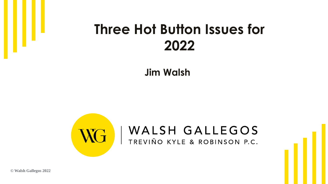#### **Three Hot Button Issues for 2022**

**Jim Walsh**



**© Walsh Gallegos 2022**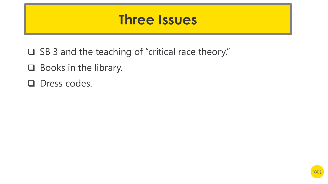#### **Three Issues**

- ❑ SB 3 and the teaching of "critical race theory."
- ❑ Books in the library.
- ❑ Dress codes.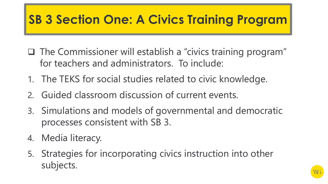## **SB 3 Section One: A Civics Training Program**

- ❑ The Commissioner will establish a "civics training program" for teachers and administrators. To include:
- 1. The TEKS for social studies related to civic knowledge.
- 2. Guided classroom discussion of current events.
- 3. Simulations and models of governmental and democratic processes consistent with SB 3.
- 4. Media literacy.
- 5. Strategies for incorporating civics instruction into other subjects.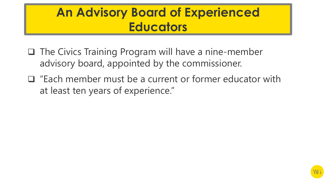#### **An Advisory Board of Experienced Educators**

- ❑ The Civics Training Program will have a nine-member advisory board, appointed by the commissioner.
- ❑ "Each member must be a current or former educator with at least ten years of experience."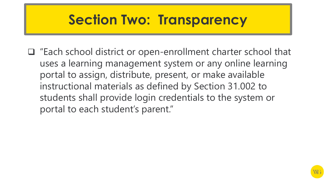## **Section Two: Transparency**

❑ "Each school district or open-enrollment charter school that uses a learning management system or any online learning portal to assign, distribute, present, or make available instructional materials as defined by Section 31.002 to students shall provide login credentials to the system or portal to each student's parent."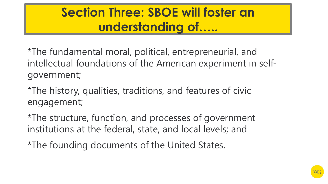#### **Section Three: SBOE will foster an understanding of…..**

\*The fundamental moral, political, entrepreneurial, and intellectual foundations of the American experiment in selfgovernment;

\*The history, qualities, traditions, and features of civic engagement;

\*The structure, function, and processes of government institutions at the federal, state, and local levels; and

\*The founding documents of the United States.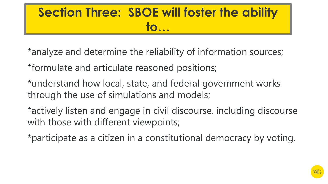## **Section Three: SBOE will foster the ability to…**

- \*analyze and determine the reliability of information sources;
- \*formulate and articulate reasoned positions;
- \*understand how local, state, and federal government works through the use of simulations and models;
- \*actively listen and engage in civil discourse, including discourse with those with different viewpoints;
- \*participate as a citizen in a constitutional democracy by voting.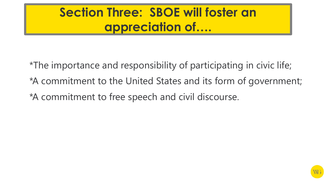#### **Section Three: SBOE will foster an appreciation of….**

\*The importance and responsibility of participating in civic life; \*A commitment to the United States and its form of government; \*A commitment to free speech and civil discourse.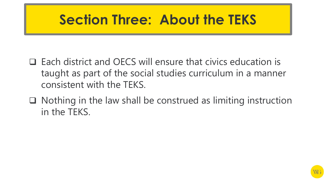## **Section Three: About the TEKS**

- ❑ Each district and OECS will ensure that civics education is taught as part of the social studies curriculum in a manner consistent with the TEKS.
- ❑ Nothing in the law shall be construed as limiting instruction in the TEKS.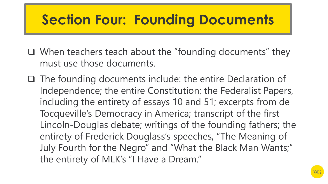# **Section Four: Founding Documents**

- ❑ When teachers teach about the "founding documents" they must use those documents.
- ❑ The founding documents include: the entire Declaration of Independence; the entire Constitution; the Federalist Papers, including the entirety of essays 10 and 51; excerpts from de Tocqueville's Democracy in America; transcript of the first Lincoln-Douglas debate; writings of the founding fathers; the entirety of Frederick Douglass's speeches, "The Meaning of July Fourth for the Negro" and "What the Black Man Wants;" the entirety of MLK's "I Have a Dream."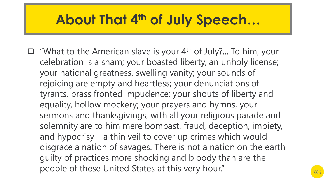## **About That 4th of July Speech…**

 $\Box$  "What to the American slave is your 4<sup>th</sup> of July?... To him, your celebration is a sham; your boasted liberty, an unholy license; your national greatness, swelling vanity; your sounds of rejoicing are empty and heartless; your denunciations of tyrants, brass fronted impudence; your shouts of liberty and equality, hollow mockery; your prayers and hymns, your sermons and thanksgivings, with all your religious parade and solemnity are to him mere bombast, fraud, deception, impiety, and hypocrisy—a thin veil to cover up crimes which would disgrace a nation of savages. There is not a nation on the earth guilty of practices more shocking and bloody than are the people of these United States at this very hour."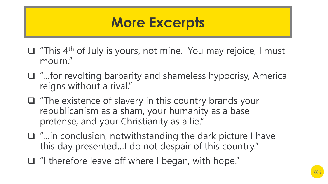#### **More Excerpts**

- ❑ "This 4th of July is yours, not mine. You may rejoice, I must mourn."
- ❑ "…for revolting barbarity and shameless hypocrisy, America reigns without a rival."
- ❑ "The existence of slavery in this country brands your republicanism as a sham, your humanity as a base pretense, and your Christianity as a lie."
- ❑ "…in conclusion, notwithstanding the dark picture I have this day presented…I do not despair of this country."
- ❑ "I therefore leave off where I began, with hope."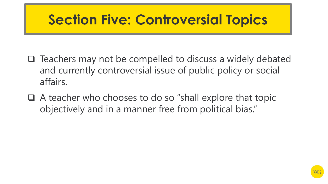# **Section Five: Controversial Topics**

- ❑ Teachers may not be compelled to discuss a widely debated and currently controversial issue of public policy or social affairs.
- ❑ A teacher who chooses to do so "shall explore that topic objectively and in a manner free from political bias."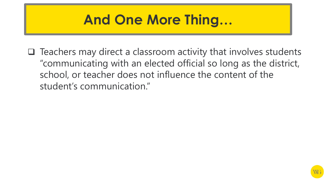

❑ Teachers may direct a classroom activity that involves students "communicating with an elected official so long as the district, school, or teacher does not influence the content of the student's communication."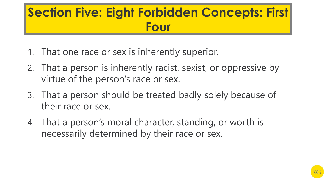## **Section Five: Eight Forbidden Concepts: First Four**

- 1. That one race or sex is inherently superior.
- 2. That a person is inherently racist, sexist, or oppressive by virtue of the person's race or sex.
- 3. That a person should be treated badly solely because of their race or sex.
- 4. That a person's moral character, standing, or worth is necessarily determined by their race or sex.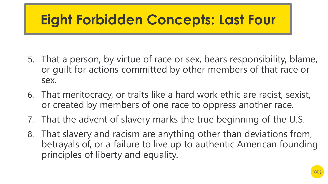# **Eight Forbidden Concepts: Last Four**

- 5. That a person, by virtue of race or sex, bears responsibility, blame, or guilt for actions committed by other members of that race or sex.
- 6. That meritocracy, or traits like a hard work ethic are racist, sexist, or created by members of one race to oppress another race.
- 7. That the advent of slavery marks the true beginning of the U.S.
- 8. That slavery and racism are anything other than deviations from, betrayals of, or a failure to live up to authentic American founding principles of liberty and equality.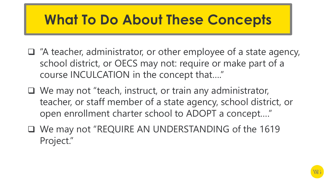# **What To Do About These Concepts**

- ❑ "A teacher, administrator, or other employee of a state agency, school district, or OECS may not: require or make part of a course INCULCATION in the concept that…."
- ❑ We may not "teach, instruct, or train any administrator, teacher, or staff member of a state agency, school district, or open enrollment charter school to ADOPT a concept…."
- ❑ We may not "REQUIRE AN UNDERSTANDING of the 1619 Project."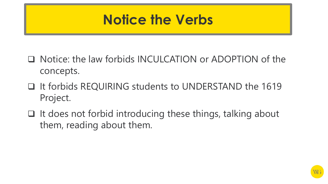#### **Notice the Verbs**

- ❑ Notice: the law forbids INCULCATION or ADOPTION of the concepts.
- ❑ It forbids REQUIRING students to UNDERSTAND the 1619 Project.
- ❑ It does not forbid introducing these things, talking about them, reading about them.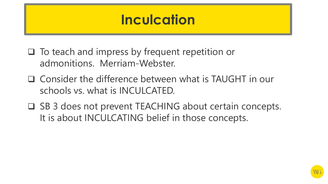## **Inculcation**

- ❑ To teach and impress by frequent repetition or admonitions. Merriam-Webster.
- ❑ Consider the difference between what is TAUGHT in our schools vs. what is INCULCATED.
- ❑ SB 3 does not prevent TEACHING about certain concepts. It is about INCULCATING belief in those concepts.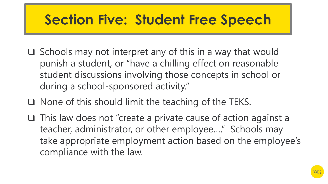# **Section Five: Student Free Speech**

- ❑ Schools may not interpret any of this in a way that would punish a student, or "have a chilling effect on reasonable student discussions involving those concepts in school or during a school-sponsored activity."
- ❑ None of this should limit the teaching of the TEKS.
- ❑ This law does not "create a private cause of action against a teacher, administrator, or other employee…." Schools may take appropriate employment action based on the employee's compliance with the law.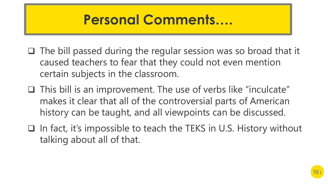## **Personal Comments….**

- ❑ The bill passed during the regular session was so broad that it caused teachers to fear that they could not even mention certain subjects in the classroom.
- ❑ This bill is an improvement. The use of verbs like "inculcate" makes it clear that all of the controversial parts of American history can be taught, and all viewpoints can be discussed.
- ❑ In fact, it's impossible to teach the TEKS in U.S. History without talking about all of that.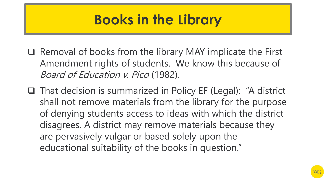# **Books in the Library**

- ❑ Removal of books from the library MAY implicate the First Amendment rights of students. We know this because of Board of Education v. Pico (1982).
- ❑ That decision is summarized in Policy EF (Legal): "A district shall not remove materials from the library for the purpose of denying students access to ideas with which the district disagrees. A district may remove materials because they are pervasively vulgar or based solely upon the educational suitability of the books in question."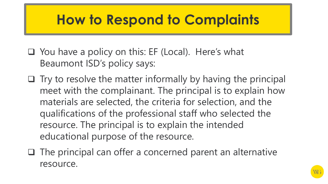## **How to Respond to Complaints**

- ❑ You have a policy on this: EF (Local). Here's what Beaumont ISD's policy says:
- ❑ Try to resolve the matter informally by having the principal meet with the complainant. The principal is to explain how materials are selected, the criteria for selection, and the qualifications of the professional staff who selected the resource. The principal is to explain the intended educational purpose of the resource.
- ❑ The principal can offer a concerned parent an alternative resource.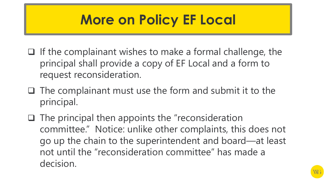# **More on Policy EF Local**

- ❑ If the complainant wishes to make a formal challenge, the principal shall provide a copy of EF Local and a form to request reconsideration.
- ❑ The complainant must use the form and submit it to the principal.
- ❑ The principal then appoints the "reconsideration committee." Notice: unlike other complaints, this does not go up the chain to the superintendent and board—at least not until the "reconsideration committee" has made a decision.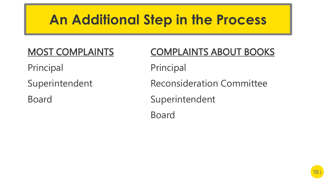# **An Additional Step in the Process**

MOST COMPLAINTS COMPLAINTS ABOUT BOOKS Principal Principal Superintendent Reconsideration Committee Board Superintendent Board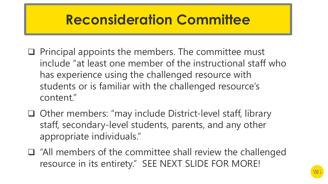## **Reconsideration Committee**

- ❑ Principal appoints the members. The committee must include "at least one member of the instructional staff who has experience using the challenged resource with students or is familiar with the challenged resource's content."
- ❑ Other members: "may include District-level staff, library staff, secondary-level students, parents, and any other appropriate individuals."
- ❑ "All members of the committee shall review the challenged resource in its entirety." SEE NEXT SLIDE FOR MORE!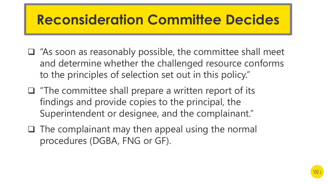# **Reconsideration Committee Decides**

- ❑ "As soon as reasonably possible, the committee shall meet and determine whether the challenged resource conforms to the principles of selection set out in this policy."
- ❑ "The committee shall prepare a written report of its findings and provide copies to the principal, the Superintendent or designee, and the complainant."
- ❑ The complainant may then appeal using the normal procedures (DGBA, FNG or GF).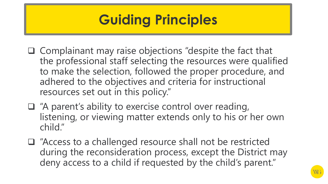# **Guiding Principles**

- ❑ Complainant may raise objections "despite the fact that the professional staff selecting the resources were qualified to make the selection, followed the proper procedure, and adhered to the objectives and criteria for instructional resources set out in this policy."
- ❑ "A parent's ability to exercise control over reading, listening, or viewing matter extends only to his or her own child."
- ❑ "Access to a challenged resource shall not be restricted during the reconsideration process, except the District may deny access to a child if requested by the child's parent."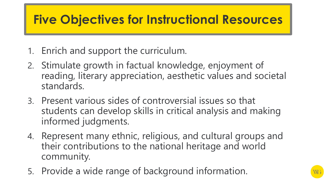#### **Five Objectives for Instructional Resources**

- 1. Enrich and support the curriculum.
- 2. Stimulate growth in factual knowledge, enjoyment of reading, literary appreciation, aesthetic values and societal standards.
- 3. Present various sides of controversial issues so that students can develop skills in critical analysis and making informed judgments.
- 4. Represent many ethnic, religious, and cultural groups and their contributions to the national heritage and world community.
- 5. Provide a wide range of background information.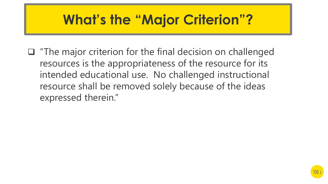# **What's the "Major Criterion"?**

❑ "The major criterion for the final decision on challenged resources is the appropriateness of the resource for its intended educational use. No challenged instructional resource shall be removed solely because of the ideas expressed therein."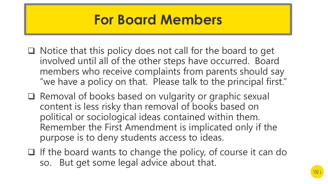## **For Board Members**

- ❑ Notice that this policy does not call for the board to get involved until all of the other steps have occurred. Board members who receive complaints from parents should say "we have a policy on that. Please talk to the principal first."
- ❑ Removal of books based on vulgarity or graphic sexual content is less risky than removal of books based on political or sociological ideas contained within them. Remember the First Amendment is implicated only if the purpose is to deny students access to ideas.
- ❑ If the board wants to change the policy, of course it can do so. But get some legal advice about that.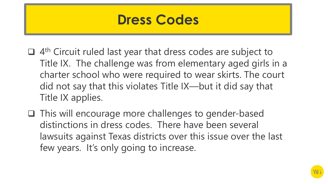

- □ 4<sup>th</sup> Circuit ruled last year that dress codes are subject to Title IX. The challenge was from elementary aged girls in a charter school who were required to wear skirts. The court did not say that this violates Title IX—but it did say that Title IX applies.
- ❑ This will encourage more challenges to gender-based distinctions in dress codes. There have been several lawsuits against Texas districts over this issue over the last few years. It's only going to increase.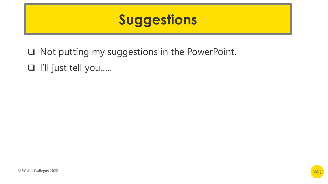## **Suggestions**

❑ Not putting my suggestions in the PowerPoint. ❑ I'll just tell you…..

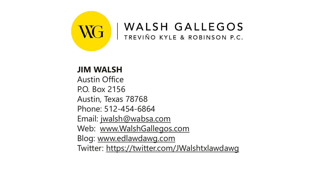

**JIM WALSH** Austin Office P.O. Box 2156 Austin, Texas 78768 Phone: 512-454-6864 Email: [jwalsh@wabsa.com](http://www.jwalsh@wabsa.com/) Web: [www.WalshGallegos.com](http://www.walshgallegos.com/) Blog: [www.edlawdawg.com](http://www.edlawdawg.com/) Twitter:<https://twitter.com/JWalshtxlawdawg>